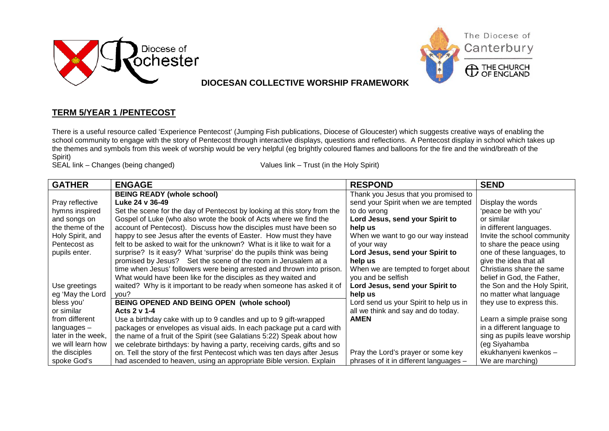



## **DIOCESAN COLLECTIVE WORSHIP FRAMEWORK**

## **TERM 5/YEAR 1 /PENTECOST**

There is a useful resource called 'Experience Pentecost' (Jumping Fish publications, Diocese of Gloucester) which suggests creative ways of enabling the school community to engage with the story of Pentecost through interactive displays, questions and reflections. A Pentecost display in school which takes up the themes and symbols from this week of worship would be very helpful (eg brightly coloured flames and balloons for the fire and the wind/breath of the Spirit)

SEAL link – Changes (being changed) Values link – Trust (in the Holy Spirit)

| <b>GATHER</b>      | <b>ENGAGE</b>                                                            | <b>RESPOND</b>                         | <b>SEND</b>                  |
|--------------------|--------------------------------------------------------------------------|----------------------------------------|------------------------------|
|                    | <b>BEING READY (whole school)</b>                                        | Thank you Jesus that you promised to   |                              |
| Pray reflective    | Luke 24 v 36-49                                                          | send your Spirit when we are tempted   | Display the words            |
| hymns inspired     | Set the scene for the day of Pentecost by looking at this story from the | to do wrong                            | 'peace be with you'          |
| and songs on       | Gospel of Luke (who also wrote the book of Acts where we find the        | Lord Jesus, send your Spirit to        | or similar                   |
| the theme of the   | account of Pentecost). Discuss how the disciples must have been so       | help us                                | in different languages.      |
| Holy Spirit, and   | happy to see Jesus after the events of Easter. How must they have        | When we want to go our way instead     | Invite the school community  |
| Pentecost as       | felt to be asked to wait for the unknown? What is it like to wait for a  | of your way                            | to share the peace using     |
| pupils enter.      | surprise? Is it easy? What 'surprise' do the pupils think was being      | Lord Jesus, send your Spirit to        | one of these languages, to   |
|                    | promised by Jesus? Set the scene of the room in Jerusalem at a           | help us                                | give the idea that all       |
|                    | time when Jesus' followers were being arrested and thrown into prison.   | When we are tempted to forget about    | Christians share the same    |
|                    | What would have been like for the disciples as they waited and           | you and be selfish                     | belief in God, the Father,   |
| Use greetings      | waited? Why is it important to be ready when someone has asked it of     | Lord Jesus, send your Spirit to        | the Son and the Holy Spirit, |
| eg 'May the Lord   | you?                                                                     | help us                                | no matter what language      |
| bless you'         | BEING OPENED AND BEING OPEN (whole school)                               | Lord send us your Spirit to help us in | they use to express this.    |
| or similar         | Acts 2 v 1-4                                                             | all we think and say and do today.     |                              |
| from different     | Use a birthday cake with up to 9 candles and up to 9 gift-wrapped        | <b>AMEN</b>                            | Learn a simple praise song   |
| $languages -$      | packages or envelopes as visual aids. In each package put a card with    |                                        | in a different language to   |
| later in the week, | the name of a fruit of the Spirit (see Galatians 5:22) Speak about how   |                                        | sing as pupils leave worship |
| we will learn how  | we celebrate birthdays: by having a party, receiving cards, gifts and so |                                        | (eg Siyahamba                |
| the disciples      | on. Tell the story of the first Pentecost which was ten days after Jesus | Pray the Lord's prayer or some key     | ekukhanyeni kwenkos -        |
| spoke God's        | had ascended to heaven, using an appropriate Bible version. Explain      | phrases of it in different languages - | We are marching)             |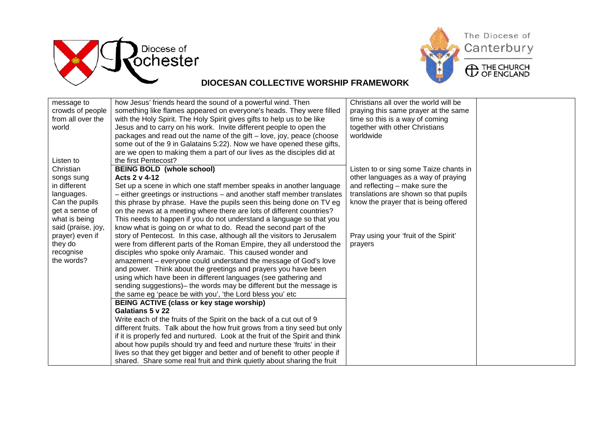



## **DIOCESAN COLLECTIVE WORSHIP FRAMEWORK**

| message to              | how Jesus' friends heard the sound of a powerful wind. Then                                                                 | Christians all over the world will be  |  |
|-------------------------|-----------------------------------------------------------------------------------------------------------------------------|----------------------------------------|--|
| crowds of people        | something like flames appeared on everyone's heads. They were filled                                                        | praying this same prayer at the same   |  |
| from all over the       | with the Holy Spirit. The Holy Spirit gives gifts to help us to be like                                                     | time so this is a way of coming        |  |
| world                   | Jesus and to carry on his work. Invite different people to open the                                                         | together with other Christians         |  |
|                         | packages and read out the name of the gift – love, joy, peace (choose                                                       | worldwide                              |  |
|                         | some out of the 9 in Galatains 5:22). Now we have opened these gifts,                                                       |                                        |  |
|                         | are we open to making them a part of our lives as the disciples did at                                                      |                                        |  |
| Listen to               | the first Pentecost?                                                                                                        |                                        |  |
| Christian               | <b>BEING BOLD (whole school)</b>                                                                                            | Listen to or sing some Taize chants in |  |
| songs sung              | Acts 2 v 4-12                                                                                                               | other languages as a way of praying    |  |
| in different            | Set up a scene in which one staff member speaks in another language                                                         | and reflecting - make sure the         |  |
| languages.              | - either greetings or instructions - and another staff member translates                                                    | translations are shown so that pupils  |  |
| Can the pupils          | this phrase by phrase. Have the pupils seen this being done on TV eg                                                        | know the prayer that is being offered  |  |
| get a sense of          | on the news at a meeting where there are lots of different countries?                                                       |                                        |  |
| what is being           | This needs to happen if you do not understand a language so that you                                                        |                                        |  |
| said (praise, joy,      | know what is going on or what to do. Read the second part of the                                                            |                                        |  |
| prayer) even if         | story of Pentecost. In this case, although all the visitors to Jerusalem                                                    | Pray using your 'fruit of the Spirit'  |  |
| they do                 | were from different parts of the Roman Empire, they all understood the                                                      | prayers                                |  |
| recognise<br>the words? | disciples who spoke only Aramaic. This caused wonder and<br>amazement – everyone could understand the message of God's love |                                        |  |
|                         | and power. Think about the greetings and prayers you have been                                                              |                                        |  |
|                         | using which have been in different languages (see gathering and                                                             |                                        |  |
|                         | sending suggestions) – the words may be different but the message is                                                        |                                        |  |
|                         | the same eg 'peace be with you', 'the Lord bless you' etc                                                                   |                                        |  |
|                         | <b>BEING ACTIVE (class or key stage worship)</b>                                                                            |                                        |  |
|                         | Galatians 5 v 22                                                                                                            |                                        |  |
|                         | Write each of the fruits of the Spirit on the back of a cut out of 9                                                        |                                        |  |
|                         | different fruits. Talk about the how fruit grows from a tiny seed but only                                                  |                                        |  |
|                         | if it is properly fed and nurtured. Look at the fruit of the Spirit and think                                               |                                        |  |
|                         | about how pupils should try and feed and nurture these 'fruits' in their                                                    |                                        |  |
|                         | lives so that they get bigger and better and of benefit to other people if                                                  |                                        |  |
|                         | shared. Share some real fruit and think quietly about sharing the fruit                                                     |                                        |  |